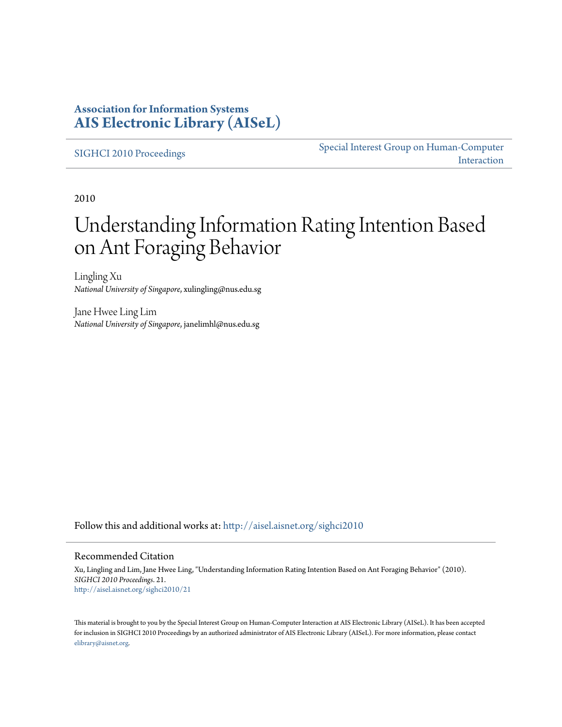## **Association for Information Systems [AIS Electronic Library \(AISeL\)](http://aisel.aisnet.org?utm_source=aisel.aisnet.org%2Fsighci2010%2F21&utm_medium=PDF&utm_campaign=PDFCoverPages)**

[SIGHCI 2010 Proceedings](http://aisel.aisnet.org/sighci2010?utm_source=aisel.aisnet.org%2Fsighci2010%2F21&utm_medium=PDF&utm_campaign=PDFCoverPages)

[Special Interest Group on Human-Computer](http://aisel.aisnet.org/sighci?utm_source=aisel.aisnet.org%2Fsighci2010%2F21&utm_medium=PDF&utm_campaign=PDFCoverPages) [Interaction](http://aisel.aisnet.org/sighci?utm_source=aisel.aisnet.org%2Fsighci2010%2F21&utm_medium=PDF&utm_campaign=PDFCoverPages)

2010

# Understanding Information Rating Intention Based on Ant Foraging Behavior

Lingling Xu *National University of Singapore*, xulingling@nus.edu.sg

Jane Hwee Ling Lim *National University of Singapore*, janelimhl@nus.edu.sg

Follow this and additional works at: [http://aisel.aisnet.org/sighci2010](http://aisel.aisnet.org/sighci2010?utm_source=aisel.aisnet.org%2Fsighci2010%2F21&utm_medium=PDF&utm_campaign=PDFCoverPages)

## Recommended Citation

Xu, Lingling and Lim, Jane Hwee Ling, "Understanding Information Rating Intention Based on Ant Foraging Behavior" (2010). *SIGHCI 2010 Proceedings*. 21. [http://aisel.aisnet.org/sighci2010/21](http://aisel.aisnet.org/sighci2010/21?utm_source=aisel.aisnet.org%2Fsighci2010%2F21&utm_medium=PDF&utm_campaign=PDFCoverPages)

This material is brought to you by the Special Interest Group on Human-Computer Interaction at AIS Electronic Library (AISeL). It has been accepted for inclusion in SIGHCI 2010 Proceedings by an authorized administrator of AIS Electronic Library (AISeL). For more information, please contact [elibrary@aisnet.org.](mailto:elibrary@aisnet.org%3E)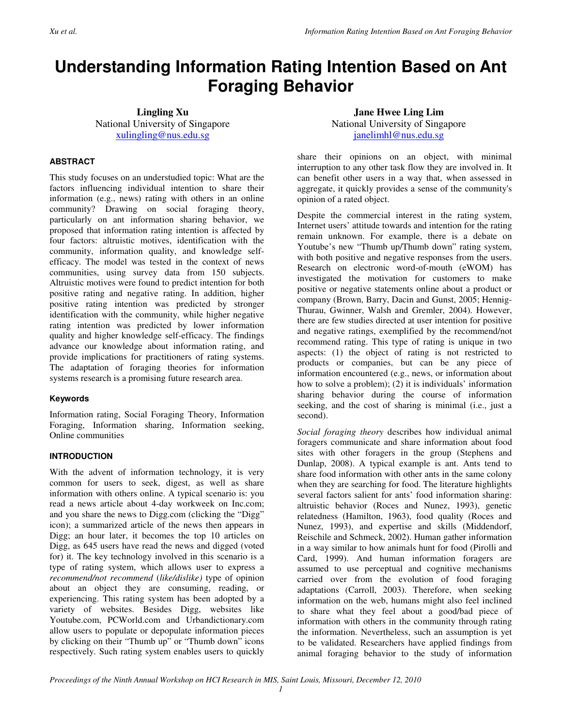## **Understanding Information Rating Intention Based on Ant Foraging Behavior**

**Lingling Xu** National University of Singapore xulingling@nus.edu.sg

## **ABSTRACT**

This study focuses on an understudied topic: What are the factors influencing individual intention to share their information (e.g., news) rating with others in an online community? Drawing on social foraging theory, particularly on ant information sharing behavior, we proposed that information rating intention is affected by four factors: altruistic motives, identification with the community, information quality, and knowledge selfefficacy. The model was tested in the context of news communities, using survey data from 150 subjects. Altruistic motives were found to predict intention for both positive rating and negative rating. In addition, higher positive rating intention was predicted by stronger identification with the community, while higher negative rating intention was predicted by lower information quality and higher knowledge self-efficacy. The findings advance our knowledge about information rating, and provide implications for practitioners of rating systems. The adaptation of foraging theories for information systems research is a promising future research area.

## **Keywords**

Information rating, Social Foraging Theory, Information Foraging, Information sharing, Information seeking, Online communities

## **INTRODUCTION**

With the advent of information technology, it is very common for users to seek, digest, as well as share information with others online. A typical scenario is: you read a news article about 4-day workweek on Inc.com; and you share the news to Digg.com (clicking the "Digg" icon); a summarized article of the news then appears in Digg; an hour later, it becomes the top 10 articles on Digg, as 645 users have read the news and digged (voted for) it. The key technology involved in this scenario is a type of rating system, which allows user to express a *recommend/not recommend* (*like/dislike)* type of opinion about an object they are consuming, reading, or experiencing. This rating system has been adopted by a variety of websites. Besides Digg, websites like Youtube.com, PCWorld.com and Urbandictionary.com allow users to populate or depopulate information pieces by clicking on their "Thumb up" or "Thumb down" icons respectively. Such rating system enables users to quickly

**Jane Hwee Ling Lim** National University of Singapore janelimhl@nus.edu.sg

share their opinions on an object, with minimal interruption to any other task flow they are involved in. It can benefit other users in a way that, when assessed in aggregate, it quickly provides a sense of the community's opinion of a rated object.

Despite the commercial interest in the rating system, Internet users' attitude towards and intention for the rating remain unknown. For example, there is a debate on Youtube's new "Thumb up/Thumb down" rating system, with both positive and negative responses from the users. Research on electronic word-of-mouth (eWOM) has investigated the motivation for customers to make positive or negative statements online about a product or company (Brown, Barry, Dacin and Gunst, 2005; Hennig-Thurau, Gwinner, Walsh and Gremler, 2004). However, there are few studies directed at user intention for positive and negative ratings, exemplified by the recommend/not recommend rating. This type of rating is unique in two aspects: (1) the object of rating is not restricted to products or companies, but can be any piece of information encountered (e.g., news, or information about how to solve a problem); (2) it is individuals' information sharing behavior during the course of information seeking, and the cost of sharing is minimal (i.e., just a second).

*Social foraging theory* describes how individual animal foragers communicate and share information about food sites with other foragers in the group (Stephens and Dunlap, 2008). A typical example is ant. Ants tend to share food information with other ants in the same colony when they are searching for food. The literature highlights several factors salient for ants' food information sharing: altruistic behavior (Roces and Nunez, 1993), genetic relatedness (Hamilton, 1963), food quality (Roces and Nunez, 1993), and expertise and skills (Middendorf, Reischile and Schmeck, 2002). Human gather information in a way similar to how animals hunt for food (Pirolli and Card, 1999). And human information foragers are assumed to use perceptual and cognitive mechanisms carried over from the evolution of food foraging adaptations (Carroll, 2003). Therefore, when seeking information on the web, humans might also feel inclined to share what they feel about a good/bad piece of information with others in the community through rating the information. Nevertheless, such an assumption is yet to be validated. Researchers have applied findings from animal foraging behavior to the study of information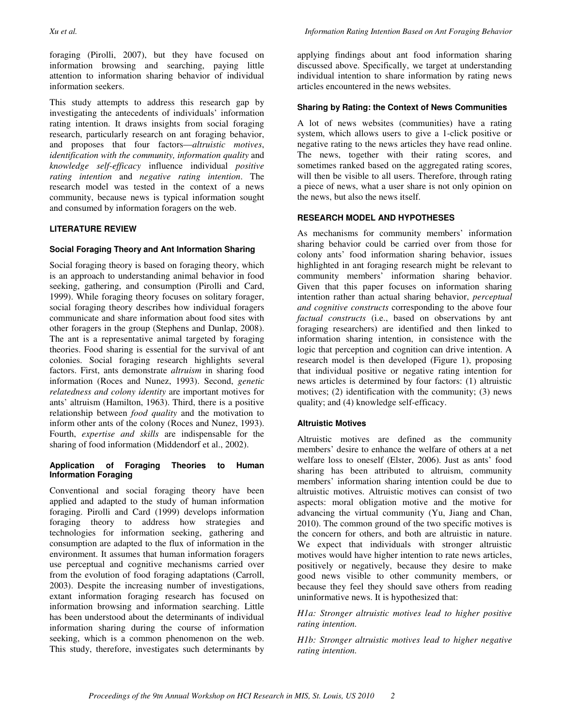foraging (Pirolli, 2007), but they have focused on information browsing and searching, paying little attention to information sharing behavior of individual information seekers.

This study attempts to address this research gap by investigating the antecedents of individuals' information rating intention. It draws insights from social foraging research, particularly research on ant foraging behavior, and proposes that four factors—*altruistic motives*, *identification with the community, information quality* and *knowledge self-efficacy* influence individual *positive rating intention* and *negative rating intention*. The research model was tested in the context of a news community, because news is typical information sought and consumed by information foragers on the web.

## **LITERATURE REVIEW**

## **Social Foraging Theory and Ant Information Sharing**

Social foraging theory is based on foraging theory, which is an approach to understanding animal behavior in food seeking, gathering, and consumption (Pirolli and Card, 1999). While foraging theory focuses on solitary forager, social foraging theory describes how individual foragers communicate and share information about food sites with other foragers in the group (Stephens and Dunlap, 2008). The ant is a representative animal targeted by foraging theories. Food sharing is essential for the survival of ant colonies. Social foraging research highlights several factors. First, ants demonstrate *altruism* in sharing food information (Roces and Nunez, 1993). Second, *genetic relatedness and colony identity* are important motives for ants' altruism (Hamilton, 1963). Third, there is a positive relationship between *food quality* and the motivation to inform other ants of the colony (Roces and Nunez, 1993). Fourth, *expertise and skills* are indispensable for the sharing of food information (Middendorf et al., 2002).

### **Application of Foraging Theories to Human Information Foraging**

Conventional and social foraging theory have been applied and adapted to the study of human information foraging. Pirolli and Card (1999) develops information foraging theory to address how strategies and technologies for information seeking, gathering and consumption are adapted to the flux of information in the environment. It assumes that human information foragers use perceptual and cognitive mechanisms carried over from the evolution of food foraging adaptations (Carroll, 2003). Despite the increasing number of investigations, extant information foraging research has focused on information browsing and information searching. Little has been understood about the determinants of individual information sharing during the course of information seeking, which is a common phenomenon on the web. This study, therefore, investigates such determinants by

applying findings about ant food information sharing discussed above. Specifically, we target at understanding individual intention to share information by rating news articles encountered in the news websites.

## **Sharing by Rating: the Context of News Communities**

A lot of news websites (communities) have a rating system, which allows users to give a 1-click positive or negative rating to the news articles they have read online. The news, together with their rating scores, and sometimes ranked based on the aggregated rating scores, will then be visible to all users. Therefore, through rating a piece of news, what a user share is not only opinion on the news, but also the news itself.

## **RESEARCH MODEL AND HYPOTHESES**

As mechanisms for community members' information sharing behavior could be carried over from those for colony ants' food information sharing behavior, issues highlighted in ant foraging research might be relevant to community members' information sharing behavior. Given that this paper focuses on information sharing intention rather than actual sharing behavior, *perceptual and cognitive constructs* corresponding to the above four *factual constructs* (i.e., based on observations by ant foraging researchers) are identified and then linked to information sharing intention, in consistence with the logic that perception and cognition can drive intention. A research model is then developed (Figure 1), proposing that individual positive or negative rating intention for news articles is determined by four factors: (1) altruistic motives; (2) identification with the community; (3) news quality; and (4) knowledge self-efficacy.

## **Altruistic Motives**

Altruistic motives are defined as the community members' desire to enhance the welfare of others at a net welfare loss to oneself (Elster, 2006). Just as ants' food sharing has been attributed to altruism, community members' information sharing intention could be due to altruistic motives. Altruistic motives can consist of two aspects: moral obligation motive and the motive for advancing the virtual community (Yu, Jiang and Chan, 2010). The common ground of the two specific motives is the concern for others, and both are altruistic in nature. We expect that individuals with stronger altruistic motives would have higher intention to rate news articles, positively or negatively, because they desire to make good news visible to other community members, or because they feel they should save others from reading uninformative news. It is hypothesized that:

*H1a: Stronger altruistic motives lead to higher positive rating intention.* 

*H1b: Stronger altruistic motives lead to higher negative rating intention.*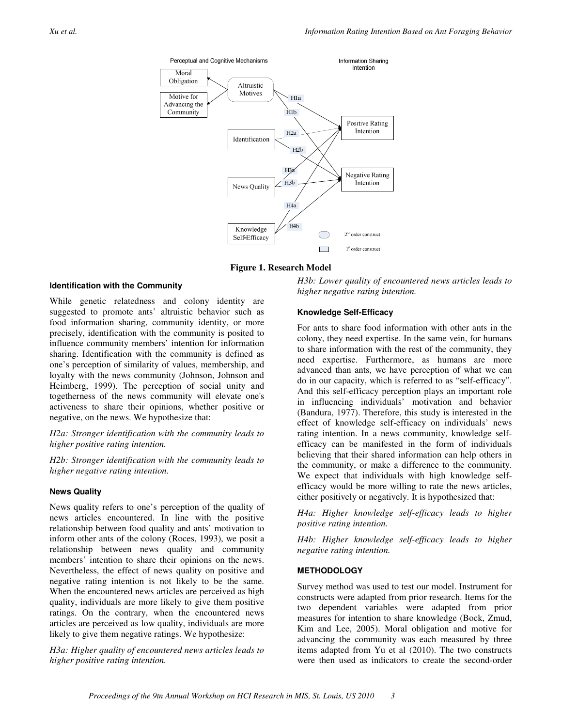

**Figure 1. Research Model**

#### **Identification with the Community**

While genetic relatedness and colony identity are suggested to promote ants' altruistic behavior such as food information sharing, community identity, or more precisely, identification with the community is posited to influence community members' intention for information sharing. Identification with the community is defined as one's perception of similarity of values, membership, and loyalty with the news community (Johnson, Johnson and Heimberg, 1999). The perception of social unity and togetherness of the news community will elevate one's activeness to share their opinions, whether positive or negative, on the news. We hypothesize that:

*H2a: Stronger identification with the community leads to higher positive rating intention.* 

*H2b: Stronger identification with the community leads to higher negative rating intention.* 

#### **News Quality**

News quality refers to one's perception of the quality of news articles encountered. In line with the positive relationship between food quality and ants' motivation to inform other ants of the colony (Roces, 1993), we posit a relationship between news quality and community members' intention to share their opinions on the news. Nevertheless, the effect of news quality on positive and negative rating intention is not likely to be the same. When the encountered news articles are perceived as high quality, individuals are more likely to give them positive ratings. On the contrary, when the encountered news articles are perceived as low quality, individuals are more likely to give them negative ratings. We hypothesize:

*H3a: Higher quality of encountered news articles leads to higher positive rating intention.* 

*H3b: Lower quality of encountered news articles leads to higher negative rating intention.* 

#### **Knowledge Self-Efficacy**

For ants to share food information with other ants in the colony, they need expertise. In the same vein, for humans to share information with the rest of the community, they need expertise. Furthermore, as humans are more advanced than ants, we have perception of what we can do in our capacity, which is referred to as "self-efficacy". And this self-efficacy perception plays an important role in influencing individuals' motivation and behavior (Bandura, 1977). Therefore, this study is interested in the effect of knowledge self-efficacy on individuals' news rating intention. In a news community, knowledge selfefficacy can be manifested in the form of individuals believing that their shared information can help others in the community, or make a difference to the community. We expect that individuals with high knowledge selfefficacy would be more willing to rate the news articles, either positively or negatively. It is hypothesized that:

*H4a: Higher knowledge self-efficacy leads to higher positive rating intention.* 

*H4b: Higher knowledge self-efficacy leads to higher negative rating intention.* 

### **METHODOLOGY**

Survey method was used to test our model. Instrument for constructs were adapted from prior research. Items for the two dependent variables were adapted from prior measures for intention to share knowledge (Bock, Zmud, Kim and Lee, 2005). Moral obligation and motive for advancing the community was each measured by three items adapted from Yu et al (2010). The two constructs were then used as indicators to create the second-order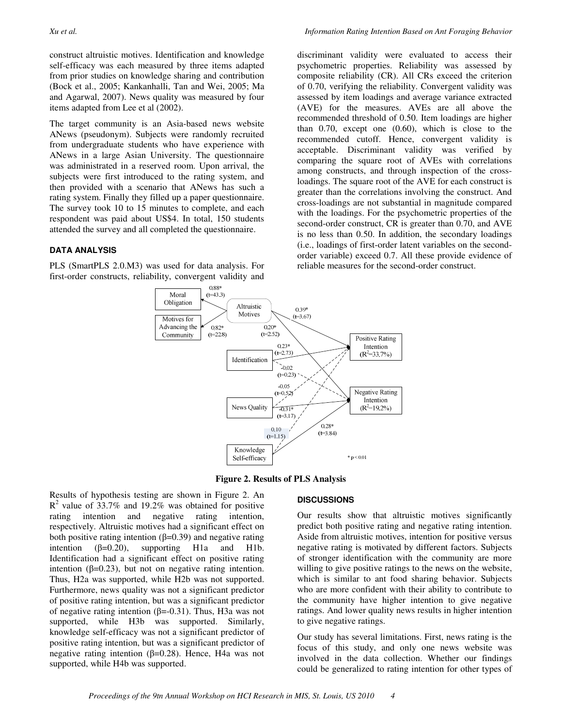construct altruistic motives. Identification and knowledge self-efficacy was each measured by three items adapted from prior studies on knowledge sharing and contribution (Bock et al., 2005; Kankanhalli, Tan and Wei, 2005; Ma and Agarwal, 2007). News quality was measured by four items adapted from Lee et al (2002).

The target community is an Asia-based news website ANews (pseudonym). Subjects were randomly recruited from undergraduate students who have experience with ANews in a large Asian University. The questionnaire was administrated in a reserved room. Upon arrival, the subjects were first introduced to the rating system, and then provided with a scenario that ANews has such a rating system. Finally they filled up a paper questionnaire. The survey took 10 to 15 minutes to complete, and each respondent was paid about US\$4. In total, 150 students attended the survey and all completed the questionnaire.

## **DATA ANALYSIS**

PLS (SmartPLS 2.0.M3) was used for data analysis. For first-order constructs, reliability, convergent validity and

discriminant validity were evaluated to access their psychometric properties. Reliability was assessed by composite reliability (CR). All CRs exceed the criterion of 0.70, verifying the reliability. Convergent validity was assessed by item loadings and average variance extracted (AVE) for the measures. AVEs are all above the recommended threshold of 0.50. Item loadings are higher than 0.70, except one (0.60), which is close to the recommended cutoff. Hence, convergent validity is acceptable. Discriminant validity was verified by comparing the square root of AVEs with correlations among constructs, and through inspection of the crossloadings. The square root of the AVE for each construct is greater than the correlations involving the construct. And cross-loadings are not substantial in magnitude compared with the loadings. For the psychometric properties of the second-order construct, CR is greater than 0.70, and AVE is no less than 0.50. In addition, the secondary loadings (i.e., loadings of first-order latent variables on the secondorder variable) exceed 0.7. All these provide evidence of reliable measures for the second-order construct.



**Figure 2. Results of PLS Analysis**

Results of hypothesis testing are shown in Figure 2. An  $R<sup>2</sup>$  value of 33.7% and 19.2% was obtained for positive rating intention and negative rating intention, respectively. Altruistic motives had a significant effect on both positive rating intention ( $β=0.39$ ) and negative rating intention  $(\beta=0.20)$ , supporting H1a and H1b. Identification had a significant effect on positive rating intention  $(β=0.23)$ , but not on negative rating intention. Thus, H2a was supported, while H2b was not supported. Furthermore, news quality was not a significant predictor of positive rating intention, but was a significant predictor of negative rating intention (β=-0.31). Thus, H3a was not supported, while H3b was supported. Similarly, knowledge self-efficacy was not a significant predictor of positive rating intention, but was a significant predictor of negative rating intention ( $β=0.28$ ). Hence, H4a was not supported, while H4b was supported.

## **DISCUSSIONS**

Our results show that altruistic motives significantly predict both positive rating and negative rating intention. Aside from altruistic motives, intention for positive versus negative rating is motivated by different factors. Subjects of stronger identification with the community are more willing to give positive ratings to the news on the website, which is similar to ant food sharing behavior. Subjects who are more confident with their ability to contribute to the community have higher intention to give negative ratings. And lower quality news results in higher intention to give negative ratings.

Our study has several limitations. First, news rating is the focus of this study, and only one news website was involved in the data collection. Whether our findings could be generalized to rating intention for other types of